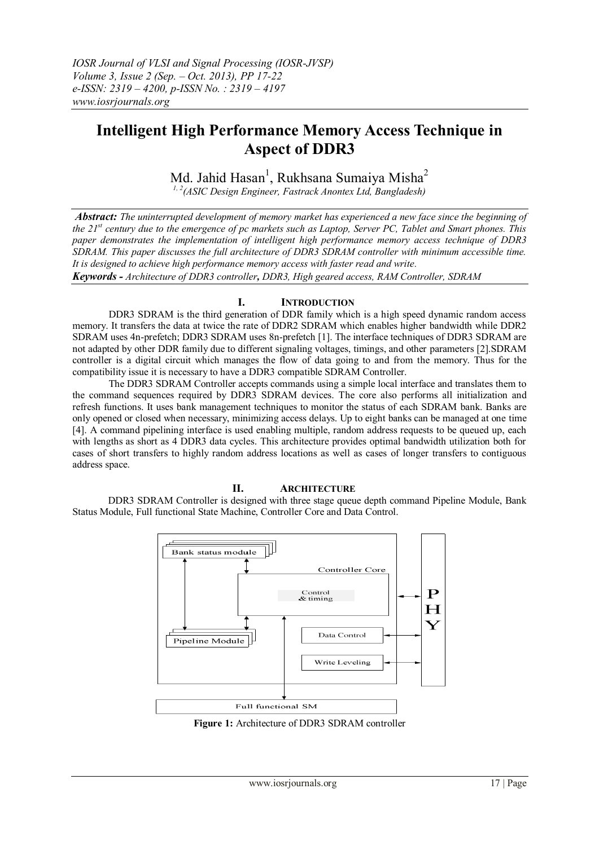# **Intelligent High Performance Memory Access Technique in Aspect of DDR3**

Md. Jahid Hasan<sup>1</sup>, Rukhsana Sumaiya Misha<sup>2</sup>

*1, 2(ASIC Design Engineer, Fastrack Anontex Ltd, Bangladesh)*

*Abstract: The uninterrupted development of memory market has experienced a new face since the beginning of the 21st century due to the emergence of pc markets such as Laptop, Server PC, Tablet and Smart phones. This paper demonstrates the implementation of intelligent high performance memory access technique of DDR3 SDRAM. This paper discusses the full architecture of DDR3 SDRAM controller with minimum accessible time. It is designed to achieve high performance memory access with faster read and write.*

*Keywords - Architecture of DDR3 controller, DDR3, High geared access, RAM Controller, SDRAM*

## **I. INTRODUCTION**

DDR3 SDRAM is the third generation of DDR family which is a high speed dynamic random access memory. It transfers the data at twice the rate of DDR2 SDRAM which enables higher bandwidth while DDR2 SDRAM uses 4n-prefetch; DDR3 SDRAM uses 8n-prefetch [1]. The interface techniques of DDR3 SDRAM are not adapted by other DDR family due to different signaling voltages, timings, and other parameters [2].SDRAM controller is a digital circuit which manages the flow of data going to and from the memory. Thus for the compatibility issue it is necessary to have a DDR3 compatible SDRAM Controller.

The DDR3 SDRAM Controller accepts commands using a simple local interface and translates them to the command sequences required by DDR3 SDRAM devices. The core also performs all initialization and refresh functions. It uses bank management techniques to monitor the status of each SDRAM bank. Banks are only opened or closed when necessary, minimizing access delays. Up to eight banks can be managed at one time [4]. A command pipelining interface is used enabling multiple, random address requests to be queued up, each with lengths as short as 4 DDR3 data cycles. This architecture provides optimal bandwidth utilization both for cases of short transfers to highly random address locations as well as cases of longer transfers to contiguous address space.

#### **II. ARCHITECTURE**

DDR3 SDRAM Controller is designed with three stage queue depth command Pipeline Module, Bank Status Module, Full functional State Machine, Controller Core and Data Control.



**Figure 1:** Architecture of DDR3 SDRAM controller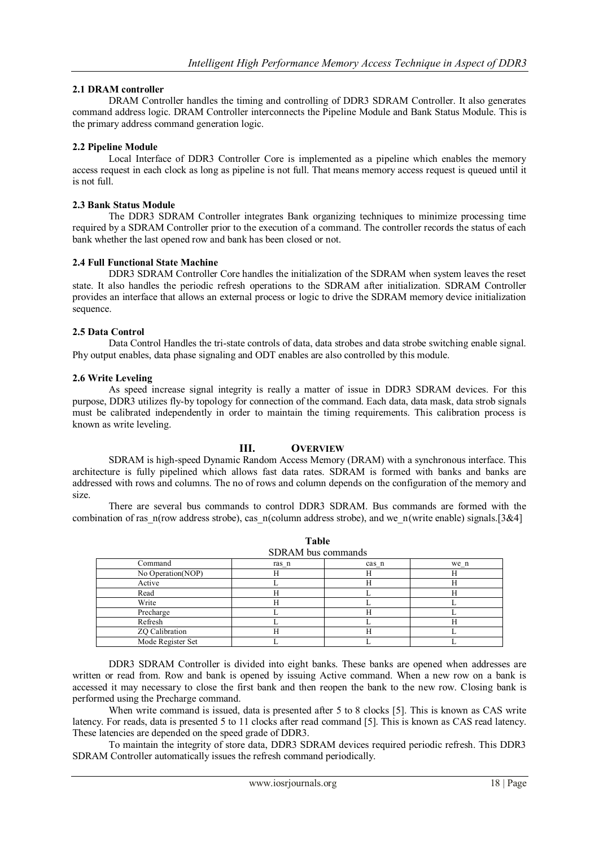## **2.1 DRAM controller**

DRAM Controller handles the timing and controlling of DDR3 SDRAM Controller. It also generates command address logic. DRAM Controller interconnects the Pipeline Module and Bank Status Module. This is the primary address command generation logic.

#### **2.2 Pipeline Module**

Local Interface of DDR3 Controller Core is implemented as a pipeline which enables the memory access request in each clock as long as pipeline is not full. That means memory access request is queued until it is not full.

#### **2.3 Bank Status Module**

The DDR3 SDRAM Controller integrates Bank organizing techniques to minimize processing time required by a SDRAM Controller prior to the execution of a command. The controller records the status of each bank whether the last opened row and bank has been closed or not.

#### **2.4 Full Functional State Machine**

DDR3 SDRAM Controller Core handles the initialization of the SDRAM when system leaves the reset state. It also handles the periodic refresh operations to the SDRAM after initialization. SDRAM Controller provides an interface that allows an external process or logic to drive the SDRAM memory device initialization sequence.

#### **2.5 Data Control**

Data Control Handles the tri-state controls of data, data strobes and data strobe switching enable signal. Phy output enables, data phase signaling and ODT enables are also controlled by this module.

#### **2.6 Write Leveling**

As speed increase signal integrity is really a matter of issue in DDR3 SDRAM devices. For this purpose, DDR3 utilizes fly-by topology for connection of the command. Each data, data mask, data strob signals must be calibrated independently in order to maintain the timing requirements. This calibration process is known as write leveling.

#### **III. OVERVIEW**

SDRAM is high-speed Dynamic Random Access Memory (DRAM) with a synchronous interface. This architecture is fully pipelined which allows fast data rates. SDRAM is formed with banks and banks are addressed with rows and columns. The no of rows and column depends on the configuration of the memory and size.

There are several bus commands to control DDR3 SDRAM. Bus commands are formed with the combination of ras n(row address strobe), cas n(column address strobe), and we n(write enable) signals.[3&4]

**Table**

| SDRAM bus commands |       |       |      |  |  |  |  |
|--------------------|-------|-------|------|--|--|--|--|
| Command            | ras_n | cas n | we n |  |  |  |  |
| No Operation(NOP)  |       |       |      |  |  |  |  |
| Active             |       | Н     |      |  |  |  |  |
| Read               |       |       |      |  |  |  |  |
| Write              |       |       |      |  |  |  |  |
| Precharge          |       | Н     |      |  |  |  |  |
| Refresh            |       |       |      |  |  |  |  |
| ZQ Calibration     |       |       |      |  |  |  |  |
| Mode Register Set  |       |       |      |  |  |  |  |

DDR3 SDRAM Controller is divided into eight banks. These banks are opened when addresses are written or read from. Row and bank is opened by issuing Active command. When a new row on a bank is accessed it may necessary to close the first bank and then reopen the bank to the new row. Closing bank is performed using the Precharge command.

When write command is issued, data is presented after 5 to 8 clocks [5]. This is known as CAS write latency. For reads, data is presented 5 to 11 clocks after read command [5]. This is known as CAS read latency. These latencies are depended on the speed grade of DDR3.

To maintain the integrity of store data, DDR3 SDRAM devices required periodic refresh. This DDR3 SDRAM Controller automatically issues the refresh command periodically.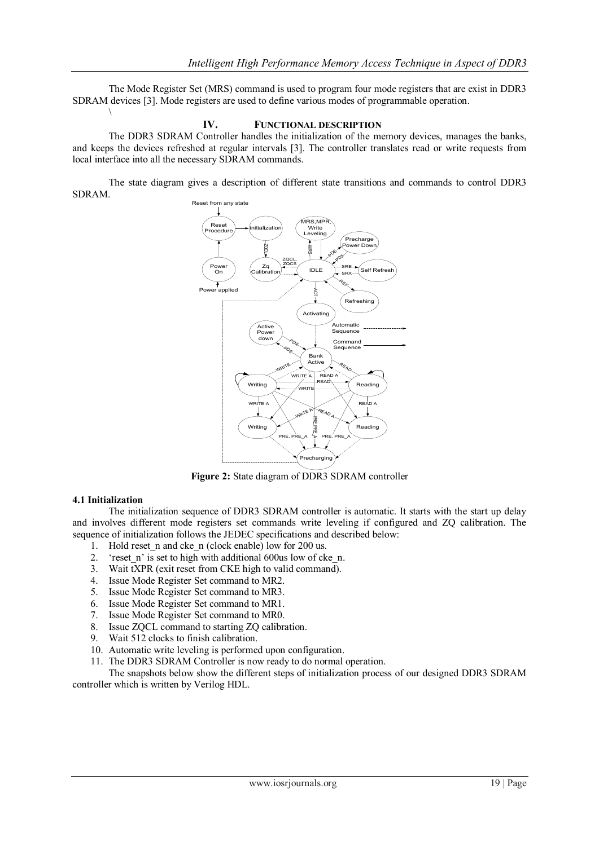The Mode Register Set (MRS) command is used to program four mode registers that are exist in DDR3 SDRAM devices [3]. Mode registers are used to define various modes of programmable operation.

#### **IV. FUNCTIONAL DESCRIPTION**

The DDR3 SDRAM Controller handles the initialization of the memory devices, manages the banks, and keeps the devices refreshed at regular intervals [3]. The controller translates read or write requests from local interface into all the necessary SDRAM commands.

The state diagram gives a description of different state transitions and commands to control DDR3 SDRAM.



**Figure 2:** State diagram of DDR3 SDRAM controller

## **4.1 Initialization**

 $\setminus$ 

The initialization sequence of DDR3 SDRAM controller is automatic. It starts with the start up delay and involves different mode registers set commands write leveling if configured and ZQ calibration. The sequence of initialization follows the JEDEC specifications and described below:

- 1. Hold reset n and cke n (clock enable) low for 200 us.
- 2. 'reset\_n' is set to high with additional 600us low of cke\_n.<br>3. Wait tXPR (exit reset from CKE high to valid command).
- 3. Wait tXPR (exit reset from CKE high to valid command).<br>4. Issue Mode Register Set command to MR2.
- 4. Issue Mode Register Set command to MR2.<br>5. Issue Mode Register Set command to MR3.
- 5. Issue Mode Register Set command to MR3.
- 6. Issue Mode Register Set command to MR1.
- 7. Issue Mode Register Set command to MR0.
- 8. Issue ZQCL command to starting ZQ calibration.
- 9. Wait 512 clocks to finish calibration.
- 10. Automatic write leveling is performed upon configuration.

11. The DDR3 SDRAM Controller is now ready to do normal operation.

The snapshots below show the different steps of initialization process of our designed DDR3 SDRAM controller which is written by Verilog HDL.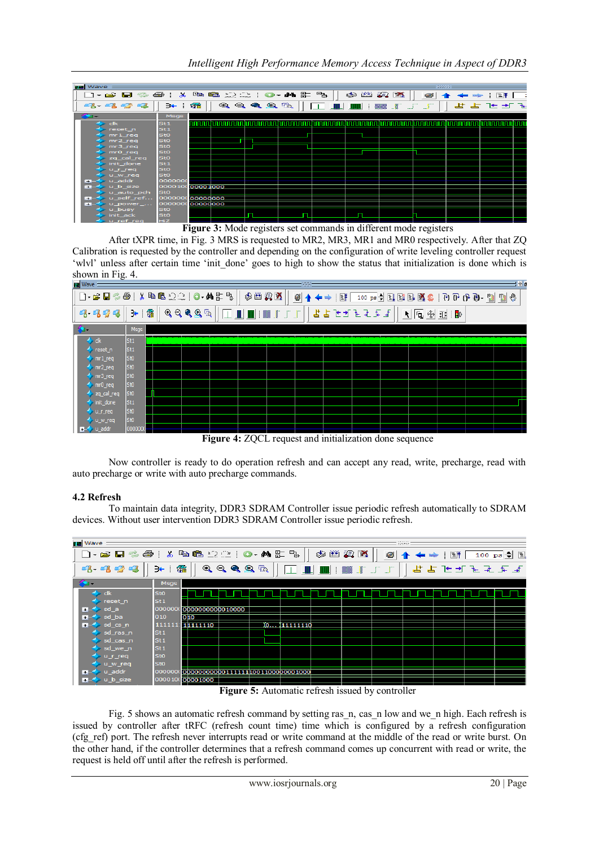| <b>Vave</b>              |                 |          |                                               |                                                                                                                       |                    |      |                                                                                                                                                                                                                                                                                         | : 333333 |         |  |
|--------------------------|-----------------|----------|-----------------------------------------------|-----------------------------------------------------------------------------------------------------------------------|--------------------|------|-----------------------------------------------------------------------------------------------------------------------------------------------------------------------------------------------------------------------------------------------------------------------------------------|----------|---------|--|
| d - 2 B - 4              |                 |          |                                               | * \$ 6 2 2   0 · M & 5 &                                                                                              |                    | 参幽雾区 |                                                                                                                                                                                                                                                                                         | 0        | 医甲      |  |
| 3333                     | ∋← ⊥            | 希        | $\mathbf{R} \mathbf{R} \mathbf{R} \mathbf{R}$ |                                                                                                                       | <b>FILE SILLER</b> |      | $\begin{array}{c} \begin{array}{c} \text{}\\ \text{}\\ \text{}\\ \end{array} \end{array} \qquad \begin{array}{c} \begin{array}{c} \text{}\\ \text{}\\ \text{}\\ \end{array} \end{array} \qquad \begin{array}{c} \begin{array}{c} \text{}\\ \text{}\\ \text{}\\ \end{array} \end{array}$ |          | せよ ヒゴ を |  |
| <b>Part 1999</b>         | Msgs            |          |                                               |                                                                                                                       |                    |      |                                                                                                                                                                                                                                                                                         |          |         |  |
| $d\mathbf{k}$            | St <sub>1</sub> |          |                                               | <u>INININ DINININ NA MATAMATIN NA MATAMATIN NA MATAMATIN DINININ NA MATAMATIN DINININ NA MATAMATIN DININININ NA M</u> |                    |      | hoonaanahaanaanahaanaanahaanaa                                                                                                                                                                                                                                                          |          |         |  |
| reset_n                  | St1             |          |                                               |                                                                                                                       |                    |      |                                                                                                                                                                                                                                                                                         |          |         |  |
| mr <sub>1</sub> req      | Sto             |          |                                               |                                                                                                                       |                    |      |                                                                                                                                                                                                                                                                                         |          |         |  |
| $mr2$ req                | <b>StO</b>      |          |                                               |                                                                                                                       |                    |      |                                                                                                                                                                                                                                                                                         |          |         |  |
| mr3_req                  | Sto             |          |                                               |                                                                                                                       |                    |      |                                                                                                                                                                                                                                                                                         |          |         |  |
| m r 0                    | <b>StO</b>      |          |                                               |                                                                                                                       |                    |      |                                                                                                                                                                                                                                                                                         |          |         |  |
| zq_cal_req               | <b>StO</b>      |          |                                               |                                                                                                                       |                    |      |                                                                                                                                                                                                                                                                                         |          |         |  |
| init_done                | St1             |          |                                               |                                                                                                                       |                    |      |                                                                                                                                                                                                                                                                                         |          |         |  |
| u_r_req                  | <b>StO</b>      |          |                                               |                                                                                                                       |                    |      |                                                                                                                                                                                                                                                                                         |          |         |  |
| u_w_req                  | <b>StO</b>      |          |                                               |                                                                                                                       |                    |      |                                                                                                                                                                                                                                                                                         |          |         |  |
| u addr<br>$\overline{1}$ | 0000000         |          |                                               |                                                                                                                       |                    |      |                                                                                                                                                                                                                                                                                         |          |         |  |
| u_b_size<br>Ð            | 000010(00001000 |          |                                               |                                                                                                                       |                    |      |                                                                                                                                                                                                                                                                                         |          |         |  |
| u_auto_pch               | <b>StO</b>      |          |                                               |                                                                                                                       |                    |      |                                                                                                                                                                                                                                                                                         |          |         |  |
| u_self_ref<br><b>H</b>   | 0000000         | 00000000 |                                               |                                                                                                                       |                    |      |                                                                                                                                                                                                                                                                                         |          |         |  |
| u_power_<br><b>H</b>     | 0000000         | 00000000 |                                               |                                                                                                                       |                    |      |                                                                                                                                                                                                                                                                                         |          |         |  |
| u_busy                   | Sto             |          |                                               |                                                                                                                       |                    |      |                                                                                                                                                                                                                                                                                         |          |         |  |
| init ack                 | <b>StO</b>      |          |                                               |                                                                                                                       |                    |      |                                                                                                                                                                                                                                                                                         |          |         |  |
| u ref reg                | <b>HiZ</b>      |          |                                               |                                                                                                                       |                    |      |                                                                                                                                                                                                                                                                                         |          |         |  |

**Figure 3:** Mode registers set commands in different mode registers

After tXPR time, in Fig. 3 MRS is requested to MR2, MR3, MR1 and MR0 respectively. After that ZQ Calibration is requested by the controller and depending on the configuration of write leveling controller request 'wlvl' unless after certain time 'init done' goes to high to show the status that initialization is done which is shown in Fig. 4.



**Figure 4:** ZQCL request and initialization done sequence

Now controller is ready to do operation refresh and can accept any read, write, precharge, read with auto precharge or write with auto precharge commands.

# **4.2 Refresh**

To maintain data integrity, DDR3 SDRAM Controller issue periodic refresh automatically to SDRAM devices. Without user intervention DDR3 SDRAM Controller issue periodic refresh.



**Figure 5:** Automatic refresh issued by controller

Fig. 5 shows an automatic refresh command by setting ras n, cas n low and we n high. Each refresh is issued by controller after tRFC (refresh count time) time which is configured by a refresh configuration (cfg\_ref) port. The refresh never interrupts read or write command at the middle of the read or write burst. On the other hand, if the controller determines that a refresh command comes up concurrent with read or write, the request is held off until after the refresh is performed.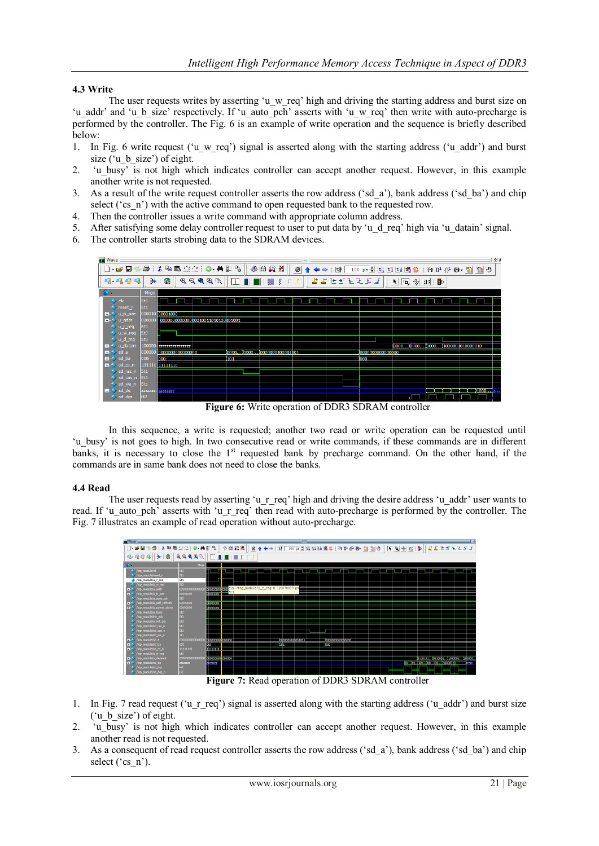## **4.3 Write**

The user requests writes by asserting 'u\_w\_req' high and driving the starting address and burst size on 'u\_addr' and 'u\_b\_size' respectively. If 'u\_auto\_pch' asserts with 'u\_w\_req' then write with auto-precharge is performed by the controller. The Fig. 6 is an example of write operation and the sequence is briefly described below:

- 1. In Fig. 6 write request ('u\_w\_req') signal is asserted along with the starting address ('u\_addr') and burst size ('u\_b\_size') of eight.
- 2. 'u\_busy' is not high which indicates controller can accept another request. However, in this example another write is not requested.
- 3. As a result of the write request controller asserts the row address ('sd\_a'), bank address ('sd\_ba') and chip select ('cs\_n') with the active command to open requested bank to the requested row.
- 4. Then the controller issues a write command with appropriate column address.
- 5. After satisfying some delay controller request to user to put data by 'u\_d\_req' high via 'u\_datain' signal.
- 6. The controller starts strobing data to the SDRAM devices.



**Figure 6:** Write operation of DDR3 SDRAM controller

In this sequence, a write is requested; another two read or write operation can be requested until 'u\_busy' is not goes to high. In two consecutive read or write commands, if these commands are in different banks, it is necessary to close the 1<sup>st</sup> requested bank by precharge command. On the other hand, if the commands are in same bank does not need to close the banks.

#### **4.4 Read**

The user requests read by asserting 'u\_r\_req' high and driving the desire address 'u\_addr' user wants to read. If 'u auto pch' asserts with 'u\_r req' then read with auto-precharge is performed by the controller. The Fig. 7 illustrates an example of read operation without auto-precharge.



**Figure 7:** Read operation of DDR3 SDRAM controller

- 1. In Fig. 7 read request ('u\_r\_req') signal is asserted along with the starting address ('u\_addr') and burst size ('u\_b\_size') of eight.
- 2. 'u\_busy' is not high which indicates controller can accept another request. However, in this example another read is not requested.
- 3. As a consequent of read request controller asserts the row address ('sd\_a'), bank address ('sd\_ba') and chip select ('cs\_n').